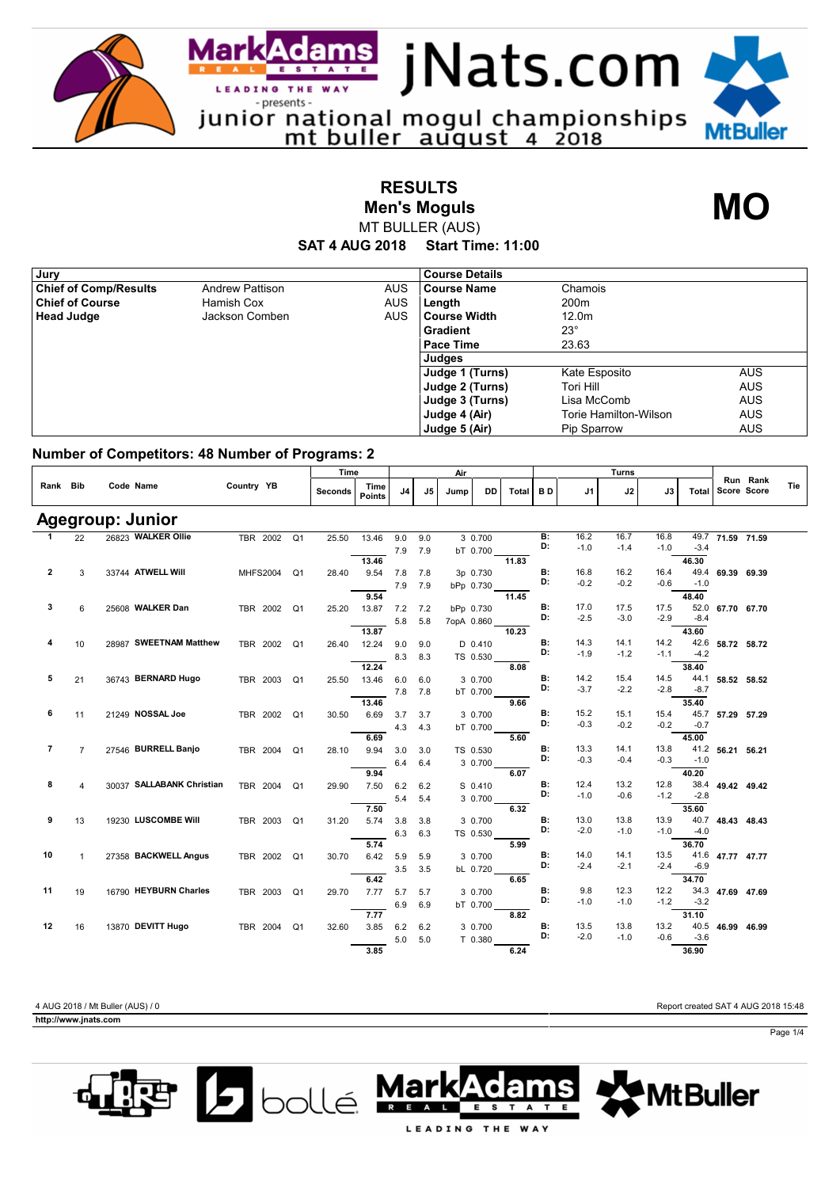

**RESULTS**

**Men's Moguls MO**

**SAT 4 AUG 2018 Start Time: 11:00** MT BULLER (AUS)

| Jury                         |                        |            | <b>Course Details</b> |                       |            |
|------------------------------|------------------------|------------|-----------------------|-----------------------|------------|
| <b>Chief of Comp/Results</b> | <b>Andrew Pattison</b> | <b>AUS</b> | Course Name           | Chamois               |            |
| <b>Chief of Course</b>       | Hamish Cox             | <b>AUS</b> | Length                | 200 <sub>m</sub>      |            |
| <b>Head Judge</b>            | Jackson Comben         | <b>AUS</b> | l Course Width        | 12.0 <sub>m</sub>     |            |
|                              |                        |            | <b>Gradient</b>       | $23^\circ$            |            |
|                              |                        |            | <b>Pace Time</b>      | 23.63                 |            |
|                              |                        |            | Judges                |                       |            |
|                              |                        |            | Judge 1 (Turns)       | Kate Esposito         | <b>AUS</b> |
|                              |                        |            | Judge 2 (Turns)       | Tori Hill             | <b>AUS</b> |
|                              |                        |            | Judge 3 (Turns)       | Lisa McComb           | <b>AUS</b> |
|                              |                        |            | Judge 4 (Air)         | Torie Hamilton-Wilson | <b>AUS</b> |
|                              |                        |            | Judge 5 (Air)         | Pip Sparrow           | <b>AUS</b> |

## **Number of Competitors: 48 Number of Programs: 2**

|                |                |                           |                 | Time           | Air     |                       |                |                | Turns |            |       |                 |                |        |        |        |                  |          |     |
|----------------|----------------|---------------------------|-----------------|----------------|---------|-----------------------|----------------|----------------|-------|------------|-------|-----------------|----------------|--------|--------|--------|------------------|----------|-----|
| Rank Bib       |                | Code Name                 | Country YB      |                | Seconds | Time<br><b>Points</b> | J <sub>4</sub> | J <sub>5</sub> | Jump  | <b>DD</b>  | Total | <b>BD</b>       | J1             | J2     | J3     | Total  | Score Score      | Run Rank | Tie |
|                |                | Agegroup: Junior          |                 |                |         |                       |                |                |       |            |       |                 |                |        |        |        |                  |          |     |
| 1              | 22             | 26823 WALKER Ollie        | TBR 2002 Q1     |                | 25.50   | 13.46                 | 9.0            | 9.0            |       | 3 0.700    |       | B:              | 16.2           | 16.7   | 16.8   | 49.7   | 71.59 71.59      |          |     |
|                |                |                           |                 |                |         |                       | 7.9            | 7.9            |       | bT 0.700   |       | D:              | $-1.0$         | $-1.4$ | $-1.0$ | $-3.4$ |                  |          |     |
|                |                |                           |                 |                |         | 13.46                 |                |                |       |            | 11.83 |                 |                |        |        | 46.30  |                  |          |     |
| $\overline{2}$ | 3              | 33744 ATWELL Will         | <b>MHFS2004</b> | Q1             | 28.40   | 9.54                  | 7.8            | 7.8            |       | 3p 0.730   |       | <b>B:</b>       | 16.8           | 16.2   | 16.4   | 49.4   | 69.39 69.39      |          |     |
|                |                |                           |                 |                |         |                       | 7.9            | 7.9            |       | bPp 0.730  |       | D:              | $-0.2$         | $-0.2$ | $-0.6$ | $-1.0$ |                  |          |     |
|                |                |                           |                 |                |         | 9.54                  |                |                |       |            | 11.45 |                 |                |        |        | 48.40  |                  |          |     |
| 3              | 6              | 25608 WALKER Dan          | TBR 2002 Q1     |                | 25.20   | 13.87                 | $7.2$ $7.2$    |                |       | bPp 0.730  |       | В:              | 17.0           | 17.5   | 17.5   | 52.0   | 67.70 67.70      |          |     |
|                |                |                           |                 |                |         |                       | 5.8            | 5.8            |       | 7opA 0.860 |       | D:              | $-2.5$         | $-3.0$ | $-2.9$ | $-8.4$ |                  |          |     |
|                |                |                           |                 |                |         | 13.87                 |                |                |       |            | 10.23 |                 |                |        |        | 43.60  |                  |          |     |
| 4              | 10             | 28987 SWEETNAM Matthew    | TBR 2002 Q1     |                | 26.40   | 12.24                 | 9.0            | 9.0            |       | D 0.410    |       | B:              | 14.3           | 14.1   | 14.2   | 42.6   | 58.72 58.72      |          |     |
|                |                |                           |                 |                |         |                       | 8.3            | 8.3            |       | TS 0.530   |       | D:              | $-1.9$         | $-1.2$ | $-1.1$ | $-4.2$ |                  |          |     |
|                |                |                           |                 |                |         | 12.24                 |                |                |       |            | 8.08  |                 |                |        |        | 38.40  |                  |          |     |
| 5              | 21             | 36743 BERNARD Hugo        | TBR 2003        | Q1             | 25.50   | 13.46                 | 6.0            | 6.0            |       | 3 0.700    |       | <b>B:</b>       | 14.2           | 15.4   | 14.5   | 44.1   | 58.52 58.52      |          |     |
|                |                |                           |                 |                |         |                       | 7.8            | 7.8            |       | bT 0.700   |       | D:              | $-3.7$         | $-2.2$ | $-2.8$ | $-8.7$ |                  |          |     |
|                |                |                           |                 |                |         | 13.46                 |                |                |       |            | 9.66  |                 |                |        |        | 35.40  |                  |          |     |
| 6              | 11             | 21249 NOSSAL Joe          | TBR 2002        | Q1             | 30.50   | 6.69                  | 3.7            | 3.7            |       | 3 0.700    |       | <b>B:</b>       | 15.2           | 15.1   | 15.4   | 45.7   | 57.29 57.29      |          |     |
|                |                |                           |                 |                |         |                       | 4.3            | 4.3            |       | bT 0.700   |       | D:              | $-0.3$         | $-0.2$ | $-0.2$ | $-0.7$ |                  |          |     |
|                |                |                           |                 |                |         | 6.69                  |                |                |       |            | 5.60  |                 |                |        |        | 45.00  |                  |          |     |
| 7              | $\overline{7}$ | 27546 BURRELL Banjo       | TBR 2004        | Q <sub>1</sub> | 28.10   | 9.94                  | 3.0            | 3.0            |       | TS 0.530   |       | В:              | 13.3           | 14.1   | 13.8   |        | 41.2 56.21 56.21 |          |     |
|                |                |                           |                 |                |         |                       | 6.4            | 6.4            |       | 3 0.700    |       | D:              | $-0.3$         | $-0.4$ | $-0.3$ | $-1.0$ |                  |          |     |
|                |                |                           |                 |                |         | 9.94                  |                |                |       |            | 6.07  |                 |                |        |        | 40.20  |                  |          |     |
| 8              | 4              | 30037 SALLABANK Christian | TBR 2004        | Q1             | 29.90   | 7.50                  | 6.2            | 6.2            |       | S 0.410    |       | <b>B:</b>       | 12.4           | 13.2   | 12.8   | 38.4   | 49.42 49.42      |          |     |
|                |                |                           |                 |                |         |                       | 5.4            | 5.4            |       | 3 0.700    |       | D:              | $-1.0$         | $-0.6$ | $-1.2$ | $-2.8$ |                  |          |     |
|                |                |                           |                 |                |         | 7.50                  |                |                |       |            | 6.32  |                 |                |        |        | 35.60  |                  |          |     |
| 9              | 13             | 19230 LUSCOMBE Will       | TBR 2003        | Q1             | 31.20   | 5.74                  | 3.8            | 3.8            |       | 3 0.700    |       | <b>B:</b><br>D: | 13.0           | 13.8   | 13.9   | 40.7   | 48.43 48.43      |          |     |
|                |                |                           |                 |                |         |                       | 6.3            | 6.3            |       | TS 0.530   |       |                 | $-2.0$         | $-1.0$ | $-1.0$ | $-4.0$ |                  |          |     |
|                |                |                           |                 |                |         | 5.74                  |                |                |       |            | 5.99  |                 |                |        |        | 36.70  |                  |          |     |
| 10             | $\mathbf{1}$   | 27358 BACKWELL Angus      | TBR 2002        | Q1             | 30.70   | 6.42                  | 5.9            | 5.9            |       | 3 0.700    |       | <b>B:</b><br>D: | 14.0           | 14.1   | 13.5   | 41.6   | 47.77 47.77      |          |     |
|                |                |                           |                 |                |         |                       | 3.5            | 3.5            |       | bL 0.720   |       |                 | $-2.4$         | $-2.1$ | $-2.4$ | $-6.9$ |                  |          |     |
|                |                |                           |                 |                |         | 6.42                  |                |                |       |            | 6.65  |                 |                |        |        | 34.70  |                  |          |     |
| 11             | 19             | 16790 HEYBURN Charles     | TBR 2003        | Q <sub>1</sub> | 29.70   | 7.77                  | 5.7            | 5.7            |       | 3 0.700    |       | B:<br>D:        | 9.8            | 12.3   | 12.2   |        | 34.3 47.69 47.69 |          |     |
|                |                |                           |                 |                |         |                       | 6.9            | 6.9            |       | bT 0.700   |       |                 | $-1.0$         | $-1.0$ | $-1.2$ | $-3.2$ |                  |          |     |
|                |                |                           |                 |                |         | 7.77                  |                |                |       |            | 8.82  |                 |                |        |        | 31.10  |                  |          |     |
| 12             | 16             | 13870 DEVITT Hugo         | TBR 2004 Q1     |                | 32.60   | 3.85                  | 6.2            | 6.2            |       | 3 0.700    |       | <b>B:</b><br>D: | 13.5<br>$-2.0$ | 13.8   | 13.2   | 40.5   | 46.99            | 46.99    |     |
|                |                |                           |                 |                |         |                       | 5.0            | 5.0            |       | T 0.380    |       |                 |                | $-1.0$ | $-0.6$ | $-3.6$ |                  |          |     |
|                |                |                           |                 |                |         | 3.85                  |                |                |       |            | 6.24  |                 |                |        |        | 36.90  |                  |          |     |

**http://www.jnats.com** 

4 AUG 2018 / Mt Buller (AUS) / 0 Report created SAT 4 AUG 2018 15:48





LEADING THE WAY

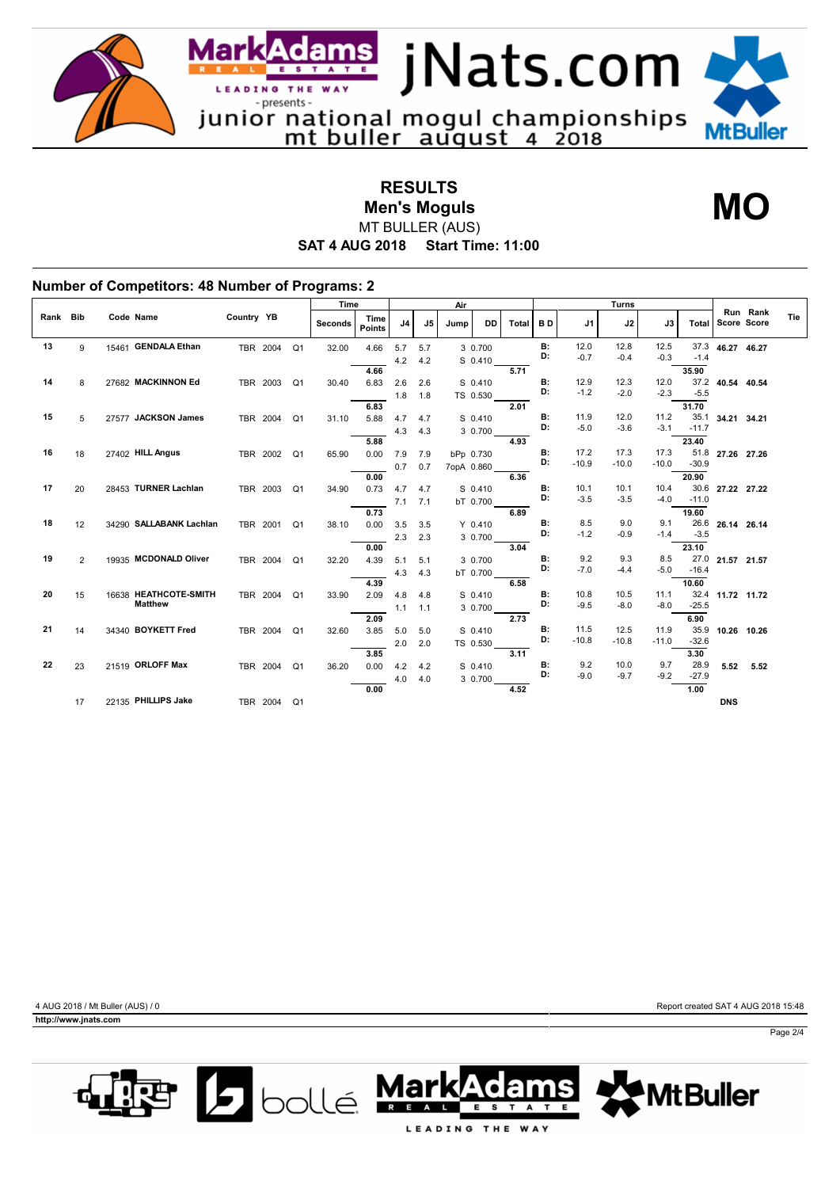

**RESULTS** MT BULLER (AUS) **Men's Moguls MO**

**SAT 4 AUG 2018 Start Time: 11:00**

| Rank Bib<br>Code Name<br>Country YB<br>Time<br>J <sub>4</sub><br><b>DD</b><br><b>Seconds</b><br>J5<br><b>Total</b><br><b>BD</b><br>J2<br>J3<br>Jump<br>J1<br>Total<br><b>Points</b><br>15461 GENDALA Ethan<br>12.0<br>12.8<br>13<br>В:<br>12.5<br>37.3<br>4.66<br>5.7<br>9<br>TBR 2004<br>Q <sub>1</sub><br>32.00<br>5.7<br>3 0.700<br>D:<br>$-0.7$<br>$-0.3$<br>$-1.4$<br>$-0.4$<br>4.2<br>S 0.410<br>4.2<br>5.71<br>35.90<br>4.66<br>B:<br>27682 MACKINNON Ed<br>12.9<br>12.3<br>37.2<br>14<br>12.0<br>TBR 2003<br>30.40<br>6.83<br>2.6<br>2.6<br>S 0.410<br>8<br>Q <sub>1</sub><br>D:<br>$-1.2$<br>$-2.0$<br>$-2.3$<br>$-5.5$<br>1.8<br>TS 0.530<br>1.8<br>6.83<br>31.70<br>2.01<br>27577 JACKSON James<br>B:<br>11.9<br>35.1<br>15<br>12.0<br>11.2<br>5.88<br>4.7<br>TBR 2004<br>31.10<br>4.7<br>S 0.410<br>5<br>Q <sub>1</sub><br>D:<br>$-5.0$<br>$-3.6$<br>$-3.1$<br>$-11.7$<br>4.3<br>4.3<br>3 0.700<br>23.40<br>5.88<br>4.93<br>51.8<br>16<br>27402 HILL Angus<br>в:<br>17.2<br>17.3<br>17.3<br>27.26 27.26<br>18<br>TBR 2002<br>Q1<br>65.90<br>0.00<br>7.9<br>7.9<br>bPp 0.730<br>D:<br>$-10.9$<br>$-10.0$<br>$-10.0$<br>$-30.9$<br>0.7<br>0.7<br>7opA 0.860<br>20.90<br>0.00<br>6.36<br>28453 TURNER Lachlan<br>B:<br>30.6<br>17<br>10.1<br>10.1<br>10.4<br>20<br>TBR 2003<br>0.73<br>4.7<br>S 0.410<br>Q1<br>34.90<br>4.7<br>D:<br>$-3.5$<br>$-3.5$<br>$-4.0$<br>$-11.0$<br>7.1<br>7.1<br>bT 0.700<br>0.73<br>6.89<br>19.60<br>34290 SALLABANK Lachlan<br>B:<br>8.5<br>9.0<br>18<br>9.1<br>26.6<br>12<br>TBR 2001<br>0.00<br>3.5<br>3.5<br>$Y$ 0.410<br>Q <sub>1</sub><br>38.10<br>D:<br>$-1.2$<br>$-1.4$<br>$-3.5$<br>$-0.9$<br>2.3<br>2.3<br>3 0.700<br>3.04<br>23.10<br>0.00<br>B:<br>9.2<br>19<br>9.3<br>19935 MCDONALD Oliver<br>8.5<br>27.0 21.57 21.57<br>$\overline{2}$<br>TBR 2004<br>4.39<br>5.1<br>5.1<br>3 0.700<br>Q <sub>1</sub><br>32.20<br>D:<br>$-7.0$<br>$-4.4$<br>$-5.0$<br>$-16.4$<br>4.3<br>4.3<br>bT 0.700<br>10.60<br>4.39<br>6.58<br>20<br>В:<br>10.8<br>16638 HEATHCOTE-SMITH<br>10.5<br>32.4 11.72 11.72<br>11.1<br>15<br>TBR 2004<br>2.09<br>4.8<br>Q <sub>1</sub><br>33.90<br>S 0.410<br>4.8<br><b>Matthew</b><br>D:<br>$-9.5$<br>$-8.0$<br>$-8.0$<br>$-25.5$<br>3 0.700<br>1.1<br>1.1<br>2.73<br>6.90<br>2.09<br><b>B:</b><br>11.5<br>12.5<br>35.9<br>21<br>11.9<br>34340 BOYKETT Fred<br>3.85<br>14<br>TBR 2004<br>Q <sub>1</sub><br>5.0<br>S 0.410<br>32.60<br>5.0<br>D:<br>$-10.8$<br>$-10.8$<br>$-11.0$<br>$-32.6$<br>2.0<br>2.0<br>TS 0.530<br>3.85<br>3.11<br>3.30<br><b>B:</b><br>9.2<br>28.9<br>22<br>21519 ORLOFF Max<br>10.0<br>9.7<br>23<br>0.00<br>4.2<br>TBR 2004<br>Q <sub>1</sub><br>36.20<br>S 0.410<br>4.2 |                         |             |         |        | <b>Turns</b> |        |    |  | Air |  | Time |  |  |  |  |
|---------------------------------------------------------------------------------------------------------------------------------------------------------------------------------------------------------------------------------------------------------------------------------------------------------------------------------------------------------------------------------------------------------------------------------------------------------------------------------------------------------------------------------------------------------------------------------------------------------------------------------------------------------------------------------------------------------------------------------------------------------------------------------------------------------------------------------------------------------------------------------------------------------------------------------------------------------------------------------------------------------------------------------------------------------------------------------------------------------------------------------------------------------------------------------------------------------------------------------------------------------------------------------------------------------------------------------------------------------------------------------------------------------------------------------------------------------------------------------------------------------------------------------------------------------------------------------------------------------------------------------------------------------------------------------------------------------------------------------------------------------------------------------------------------------------------------------------------------------------------------------------------------------------------------------------------------------------------------------------------------------------------------------------------------------------------------------------------------------------------------------------------------------------------------------------------------------------------------------------------------------------------------------------------------------------------------------------------------------------------------------------------------------------------------------------------------------------------------------------------------------------------------------------------------------------------------------------------------------------------------------------------------------------------|-------------------------|-------------|---------|--------|--------------|--------|----|--|-----|--|------|--|--|--|--|
|                                                                                                                                                                                                                                                                                                                                                                                                                                                                                                                                                                                                                                                                                                                                                                                                                                                                                                                                                                                                                                                                                                                                                                                                                                                                                                                                                                                                                                                                                                                                                                                                                                                                                                                                                                                                                                                                                                                                                                                                                                                                                                                                                                                                                                                                                                                                                                                                                                                                                                                                                                                                                                                                     | Run Rank<br>Score Score |             |         |        |              |        |    |  |     |  |      |  |  |  |  |
|                                                                                                                                                                                                                                                                                                                                                                                                                                                                                                                                                                                                                                                                                                                                                                                                                                                                                                                                                                                                                                                                                                                                                                                                                                                                                                                                                                                                                                                                                                                                                                                                                                                                                                                                                                                                                                                                                                                                                                                                                                                                                                                                                                                                                                                                                                                                                                                                                                                                                                                                                                                                                                                                     |                         | 46.27 46.27 |         |        |              |        |    |  |     |  |      |  |  |  |  |
|                                                                                                                                                                                                                                                                                                                                                                                                                                                                                                                                                                                                                                                                                                                                                                                                                                                                                                                                                                                                                                                                                                                                                                                                                                                                                                                                                                                                                                                                                                                                                                                                                                                                                                                                                                                                                                                                                                                                                                                                                                                                                                                                                                                                                                                                                                                                                                                                                                                                                                                                                                                                                                                                     |                         |             |         |        |              |        |    |  |     |  |      |  |  |  |  |
|                                                                                                                                                                                                                                                                                                                                                                                                                                                                                                                                                                                                                                                                                                                                                                                                                                                                                                                                                                                                                                                                                                                                                                                                                                                                                                                                                                                                                                                                                                                                                                                                                                                                                                                                                                                                                                                                                                                                                                                                                                                                                                                                                                                                                                                                                                                                                                                                                                                                                                                                                                                                                                                                     |                         | 40.54 40.54 |         |        |              |        |    |  |     |  |      |  |  |  |  |
|                                                                                                                                                                                                                                                                                                                                                                                                                                                                                                                                                                                                                                                                                                                                                                                                                                                                                                                                                                                                                                                                                                                                                                                                                                                                                                                                                                                                                                                                                                                                                                                                                                                                                                                                                                                                                                                                                                                                                                                                                                                                                                                                                                                                                                                                                                                                                                                                                                                                                                                                                                                                                                                                     |                         |             |         |        |              |        |    |  |     |  |      |  |  |  |  |
|                                                                                                                                                                                                                                                                                                                                                                                                                                                                                                                                                                                                                                                                                                                                                                                                                                                                                                                                                                                                                                                                                                                                                                                                                                                                                                                                                                                                                                                                                                                                                                                                                                                                                                                                                                                                                                                                                                                                                                                                                                                                                                                                                                                                                                                                                                                                                                                                                                                                                                                                                                                                                                                                     |                         |             |         |        |              |        |    |  |     |  |      |  |  |  |  |
|                                                                                                                                                                                                                                                                                                                                                                                                                                                                                                                                                                                                                                                                                                                                                                                                                                                                                                                                                                                                                                                                                                                                                                                                                                                                                                                                                                                                                                                                                                                                                                                                                                                                                                                                                                                                                                                                                                                                                                                                                                                                                                                                                                                                                                                                                                                                                                                                                                                                                                                                                                                                                                                                     |                         | 34.21 34.21 |         |        |              |        |    |  |     |  |      |  |  |  |  |
|                                                                                                                                                                                                                                                                                                                                                                                                                                                                                                                                                                                                                                                                                                                                                                                                                                                                                                                                                                                                                                                                                                                                                                                                                                                                                                                                                                                                                                                                                                                                                                                                                                                                                                                                                                                                                                                                                                                                                                                                                                                                                                                                                                                                                                                                                                                                                                                                                                                                                                                                                                                                                                                                     |                         |             |         |        |              |        |    |  |     |  |      |  |  |  |  |
|                                                                                                                                                                                                                                                                                                                                                                                                                                                                                                                                                                                                                                                                                                                                                                                                                                                                                                                                                                                                                                                                                                                                                                                                                                                                                                                                                                                                                                                                                                                                                                                                                                                                                                                                                                                                                                                                                                                                                                                                                                                                                                                                                                                                                                                                                                                                                                                                                                                                                                                                                                                                                                                                     |                         |             |         |        |              |        |    |  |     |  |      |  |  |  |  |
|                                                                                                                                                                                                                                                                                                                                                                                                                                                                                                                                                                                                                                                                                                                                                                                                                                                                                                                                                                                                                                                                                                                                                                                                                                                                                                                                                                                                                                                                                                                                                                                                                                                                                                                                                                                                                                                                                                                                                                                                                                                                                                                                                                                                                                                                                                                                                                                                                                                                                                                                                                                                                                                                     |                         |             |         |        |              |        |    |  |     |  |      |  |  |  |  |
|                                                                                                                                                                                                                                                                                                                                                                                                                                                                                                                                                                                                                                                                                                                                                                                                                                                                                                                                                                                                                                                                                                                                                                                                                                                                                                                                                                                                                                                                                                                                                                                                                                                                                                                                                                                                                                                                                                                                                                                                                                                                                                                                                                                                                                                                                                                                                                                                                                                                                                                                                                                                                                                                     |                         |             |         |        |              |        |    |  |     |  |      |  |  |  |  |
|                                                                                                                                                                                                                                                                                                                                                                                                                                                                                                                                                                                                                                                                                                                                                                                                                                                                                                                                                                                                                                                                                                                                                                                                                                                                                                                                                                                                                                                                                                                                                                                                                                                                                                                                                                                                                                                                                                                                                                                                                                                                                                                                                                                                                                                                                                                                                                                                                                                                                                                                                                                                                                                                     | 27.22 27.22             |             |         |        |              |        |    |  |     |  |      |  |  |  |  |
|                                                                                                                                                                                                                                                                                                                                                                                                                                                                                                                                                                                                                                                                                                                                                                                                                                                                                                                                                                                                                                                                                                                                                                                                                                                                                                                                                                                                                                                                                                                                                                                                                                                                                                                                                                                                                                                                                                                                                                                                                                                                                                                                                                                                                                                                                                                                                                                                                                                                                                                                                                                                                                                                     |                         |             |         |        |              |        |    |  |     |  |      |  |  |  |  |
|                                                                                                                                                                                                                                                                                                                                                                                                                                                                                                                                                                                                                                                                                                                                                                                                                                                                                                                                                                                                                                                                                                                                                                                                                                                                                                                                                                                                                                                                                                                                                                                                                                                                                                                                                                                                                                                                                                                                                                                                                                                                                                                                                                                                                                                                                                                                                                                                                                                                                                                                                                                                                                                                     |                         |             |         |        |              |        |    |  |     |  |      |  |  |  |  |
|                                                                                                                                                                                                                                                                                                                                                                                                                                                                                                                                                                                                                                                                                                                                                                                                                                                                                                                                                                                                                                                                                                                                                                                                                                                                                                                                                                                                                                                                                                                                                                                                                                                                                                                                                                                                                                                                                                                                                                                                                                                                                                                                                                                                                                                                                                                                                                                                                                                                                                                                                                                                                                                                     | 26.14 26.14             |             |         |        |              |        |    |  |     |  |      |  |  |  |  |
|                                                                                                                                                                                                                                                                                                                                                                                                                                                                                                                                                                                                                                                                                                                                                                                                                                                                                                                                                                                                                                                                                                                                                                                                                                                                                                                                                                                                                                                                                                                                                                                                                                                                                                                                                                                                                                                                                                                                                                                                                                                                                                                                                                                                                                                                                                                                                                                                                                                                                                                                                                                                                                                                     |                         |             |         |        |              |        |    |  |     |  |      |  |  |  |  |
|                                                                                                                                                                                                                                                                                                                                                                                                                                                                                                                                                                                                                                                                                                                                                                                                                                                                                                                                                                                                                                                                                                                                                                                                                                                                                                                                                                                                                                                                                                                                                                                                                                                                                                                                                                                                                                                                                                                                                                                                                                                                                                                                                                                                                                                                                                                                                                                                                                                                                                                                                                                                                                                                     |                         |             |         |        |              |        |    |  |     |  |      |  |  |  |  |
|                                                                                                                                                                                                                                                                                                                                                                                                                                                                                                                                                                                                                                                                                                                                                                                                                                                                                                                                                                                                                                                                                                                                                                                                                                                                                                                                                                                                                                                                                                                                                                                                                                                                                                                                                                                                                                                                                                                                                                                                                                                                                                                                                                                                                                                                                                                                                                                                                                                                                                                                                                                                                                                                     |                         |             |         |        |              |        |    |  |     |  |      |  |  |  |  |
|                                                                                                                                                                                                                                                                                                                                                                                                                                                                                                                                                                                                                                                                                                                                                                                                                                                                                                                                                                                                                                                                                                                                                                                                                                                                                                                                                                                                                                                                                                                                                                                                                                                                                                                                                                                                                                                                                                                                                                                                                                                                                                                                                                                                                                                                                                                                                                                                                                                                                                                                                                                                                                                                     |                         |             |         |        |              |        |    |  |     |  |      |  |  |  |  |
|                                                                                                                                                                                                                                                                                                                                                                                                                                                                                                                                                                                                                                                                                                                                                                                                                                                                                                                                                                                                                                                                                                                                                                                                                                                                                                                                                                                                                                                                                                                                                                                                                                                                                                                                                                                                                                                                                                                                                                                                                                                                                                                                                                                                                                                                                                                                                                                                                                                                                                                                                                                                                                                                     |                         |             |         |        |              |        |    |  |     |  |      |  |  |  |  |
|                                                                                                                                                                                                                                                                                                                                                                                                                                                                                                                                                                                                                                                                                                                                                                                                                                                                                                                                                                                                                                                                                                                                                                                                                                                                                                                                                                                                                                                                                                                                                                                                                                                                                                                                                                                                                                                                                                                                                                                                                                                                                                                                                                                                                                                                                                                                                                                                                                                                                                                                                                                                                                                                     |                         |             |         |        |              |        |    |  |     |  |      |  |  |  |  |
|                                                                                                                                                                                                                                                                                                                                                                                                                                                                                                                                                                                                                                                                                                                                                                                                                                                                                                                                                                                                                                                                                                                                                                                                                                                                                                                                                                                                                                                                                                                                                                                                                                                                                                                                                                                                                                                                                                                                                                                                                                                                                                                                                                                                                                                                                                                                                                                                                                                                                                                                                                                                                                                                     |                         |             |         |        |              |        |    |  |     |  |      |  |  |  |  |
|                                                                                                                                                                                                                                                                                                                                                                                                                                                                                                                                                                                                                                                                                                                                                                                                                                                                                                                                                                                                                                                                                                                                                                                                                                                                                                                                                                                                                                                                                                                                                                                                                                                                                                                                                                                                                                                                                                                                                                                                                                                                                                                                                                                                                                                                                                                                                                                                                                                                                                                                                                                                                                                                     | 10.26 10.26             |             |         |        |              |        |    |  |     |  |      |  |  |  |  |
|                                                                                                                                                                                                                                                                                                                                                                                                                                                                                                                                                                                                                                                                                                                                                                                                                                                                                                                                                                                                                                                                                                                                                                                                                                                                                                                                                                                                                                                                                                                                                                                                                                                                                                                                                                                                                                                                                                                                                                                                                                                                                                                                                                                                                                                                                                                                                                                                                                                                                                                                                                                                                                                                     |                         |             |         |        |              |        |    |  |     |  |      |  |  |  |  |
|                                                                                                                                                                                                                                                                                                                                                                                                                                                                                                                                                                                                                                                                                                                                                                                                                                                                                                                                                                                                                                                                                                                                                                                                                                                                                                                                                                                                                                                                                                                                                                                                                                                                                                                                                                                                                                                                                                                                                                                                                                                                                                                                                                                                                                                                                                                                                                                                                                                                                                                                                                                                                                                                     |                         |             |         |        |              |        |    |  |     |  |      |  |  |  |  |
|                                                                                                                                                                                                                                                                                                                                                                                                                                                                                                                                                                                                                                                                                                                                                                                                                                                                                                                                                                                                                                                                                                                                                                                                                                                                                                                                                                                                                                                                                                                                                                                                                                                                                                                                                                                                                                                                                                                                                                                                                                                                                                                                                                                                                                                                                                                                                                                                                                                                                                                                                                                                                                                                     | 5.52                    | 5.52        | $-27.9$ | $-9.2$ | $-9.7$       | $-9.0$ | D: |  |     |  |      |  |  |  |  |
| 3 0.700<br>4.0<br>4.0<br>1.00<br>0.00<br>4.52                                                                                                                                                                                                                                                                                                                                                                                                                                                                                                                                                                                                                                                                                                                                                                                                                                                                                                                                                                                                                                                                                                                                                                                                                                                                                                                                                                                                                                                                                                                                                                                                                                                                                                                                                                                                                                                                                                                                                                                                                                                                                                                                                                                                                                                                                                                                                                                                                                                                                                                                                                                                                       |                         |             |         |        |              |        |    |  |     |  |      |  |  |  |  |
| 22135 PHILLIPS Jake<br>17<br>TBR 2004<br>Q <sub>1</sub>                                                                                                                                                                                                                                                                                                                                                                                                                                                                                                                                                                                                                                                                                                                                                                                                                                                                                                                                                                                                                                                                                                                                                                                                                                                                                                                                                                                                                                                                                                                                                                                                                                                                                                                                                                                                                                                                                                                                                                                                                                                                                                                                                                                                                                                                                                                                                                                                                                                                                                                                                                                                             |                         | <b>DNS</b>  |         |        |              |        |    |  |     |  |      |  |  |  |  |

**http://www.jnats.com** 

4 AUG 2018 / Mt Buller (AUS) / 0 Report created SAT 4 AUG 2018 15:48



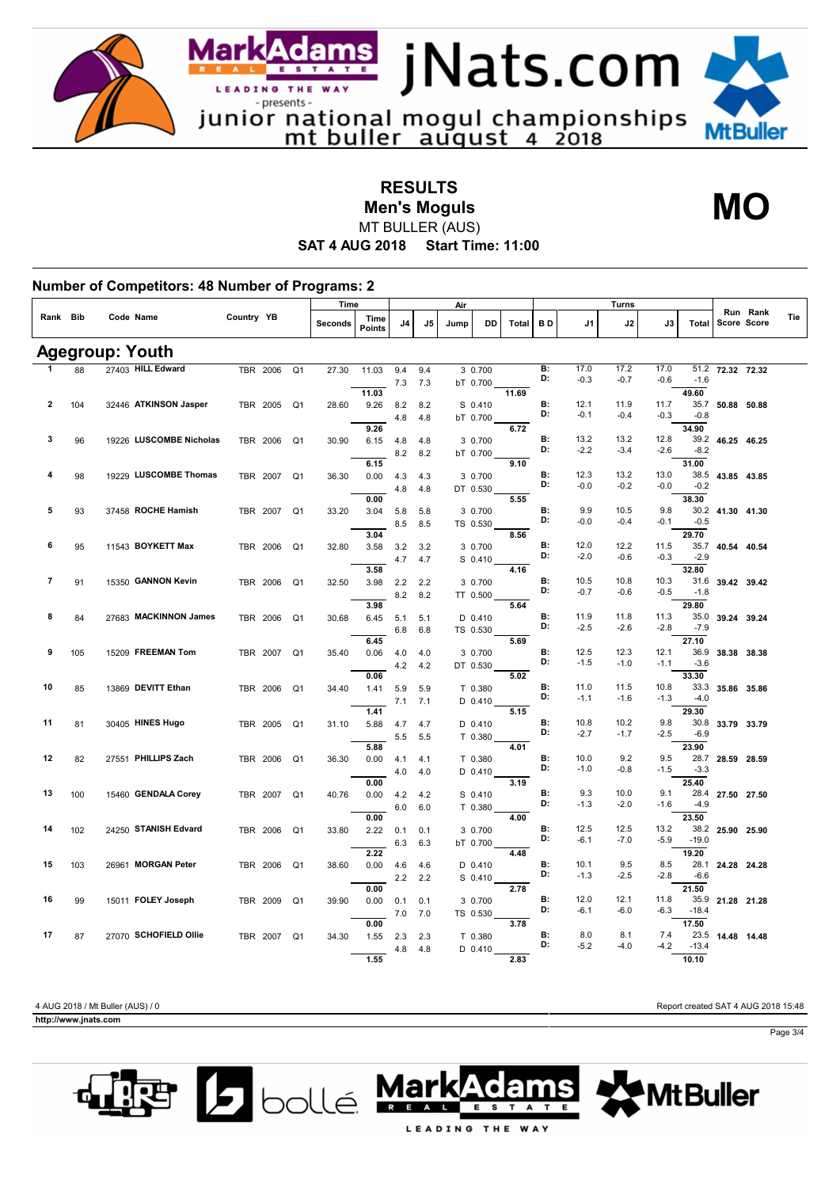

**RESULTS**

**Men's Moguls MO**

**MtBuller** 

**SAT 4 AUG 2018 Start Time: 11:00** MT BULLER (AUS)

|                         |     |                         |            |          |                | Time    |                       |            |            | Air  |                    |       |                 |                | <b>Turns</b>   |                |                 |                  |          |     |
|-------------------------|-----|-------------------------|------------|----------|----------------|---------|-----------------------|------------|------------|------|--------------------|-------|-----------------|----------------|----------------|----------------|-----------------|------------------|----------|-----|
| Rank Bib                |     | Code Name               | Country YB |          |                | Seconds | Time<br><b>Points</b> | J4         | J5         | Jump | DD                 | Total | BD              | J1             | J2             | J3             | Total           | Score Score      | Run Rank | Tie |
|                         |     | <b>Agegroup: Youth</b>  |            |          |                |         |                       |            |            |      |                    |       |                 |                |                |                |                 |                  |          |     |
| 1                       | 88  | 27403 HILL Edward       |            | TBR 2006 | Q <sub>1</sub> | 27.30   | 11.03                 | 9.4        | 9.4        |      | 3 0.700            |       | B:              | 17.0           | 17.2           | 17.0           | 51.2            | 72.32 72.32      |          |     |
|                         |     |                         |            |          |                |         |                       | 7.3        | 7.3        |      | bT 0.700           |       | D:              | $-0.3$         | $-0.7$         | $-0.6$         | $-1.6$          |                  |          |     |
|                         |     |                         |            |          |                |         | 11.03                 |            |            |      |                    | 11.69 |                 |                |                |                | 49.60           |                  |          |     |
| $\overline{2}$          | 104 | 32446 ATKINSON Jasper   |            | TBR 2005 | Q <sub>1</sub> | 28.60   | 9.26                  | 8.2        | 8.2        |      | S 0.410            |       | <b>B:</b><br>D: | 12.1<br>$-0.1$ | 11.9<br>$-0.4$ | 11.7<br>$-0.3$ | 35.7<br>$-0.8$  | 50.88 50.88      |          |     |
|                         |     |                         |            |          |                |         | 9.26                  | 4.8        | 4.8        |      | bT 0.700           | 6.72  |                 |                |                |                | 34.90           |                  |          |     |
| 3                       | 96  | 19226 LUSCOMBE Nicholas |            | TBR 2006 | Q <sub>1</sub> | 30.90   | 6.15                  | 4.8        | 4.8        |      | 3 0.700            |       | В:              | 13.2           | 13.2           | 12.8           |                 | 39.2 46.25 46.25 |          |     |
|                         |     |                         |            |          |                |         |                       | 8.2        | 8.2        |      | bT 0.700           |       | D:              | $-2.2$         | $-3.4$         | $-2.6$         | $-8.2$          |                  |          |     |
|                         |     |                         |            |          |                |         | 6.15                  |            |            |      |                    | 9.10  |                 |                |                |                | 31.00           |                  |          |     |
| 4                       | 98  | 19229 LUSCOMBE Thomas   |            | TBR 2007 | Q <sub>1</sub> | 36.30   | 0.00                  | 4.3        | 4.3        |      | 3 0.700            |       | <b>B:</b>       | 12.3           | 13.2           | 13.0           | 38.5            | 43.85 43.85      |          |     |
|                         |     |                         |            |          |                |         |                       | 4.8        | 4.8        |      | DT 0.530           |       | D:              | $-0.0$         | $-0.2$         | $-0.0$         | $-0.2$          |                  |          |     |
| 5                       |     | 37458 ROCHE Hamish      |            |          |                |         | 0.00                  |            |            |      |                    | 5.55  | <b>B:</b>       | 9.9            | 10.5           | 9.8            | 38.30           |                  |          |     |
|                         | 93  |                         |            | TBR 2007 | Q <sub>1</sub> | 33.20   | 3.04                  | 5.8        | 5.8        |      | 3 0.700            |       | D:              | $-0.0$         | $-0.4$         | $-0.1$         | $-0.5$          | 30.2 41.30 41.30 |          |     |
|                         |     |                         |            |          |                |         | 3.04                  | 8.5        | 8.5        |      | TS 0.530           | 8.56  |                 |                |                |                | 29.70           |                  |          |     |
| 6                       | 95  | 11543 BOYKETT Max       |            | TBR 2006 | Q <sub>1</sub> | 32.80   | 3.58                  | 3.2        | 3.2        |      | 3 0.700            |       | B:              | 12.0           | 12.2           | 11.5           | 35.7            | 40.54 40.54      |          |     |
|                         |     |                         |            |          |                |         |                       | 4.7        | 4.7        |      | S 0.410            |       | D:              | $-2.0$         | $-0.6$         | $-0.3$         | $-2.9$          |                  |          |     |
|                         |     |                         |            |          |                |         | 3.58                  |            |            |      |                    | 4.16  |                 |                |                |                | 32.80           |                  |          |     |
| $\overline{\mathbf{r}}$ | 91  | 15350 GANNON Kevin      |            | TBR 2006 | Q <sub>1</sub> | 32.50   | 3.98                  | 2.2        | 2.2        |      | 3 0.700            |       | B:<br>D:        | 10.5<br>$-0.7$ | 10.8           | 10.3           | 31.6            | 39.42 39.42      |          |     |
|                         |     |                         |            |          |                |         | 3.98                  | 8.2        | 8.2        |      | TT 0.500           | 5.64  |                 |                | $-0.6$         | $-0.5$         | $-1.8$<br>29.80 |                  |          |     |
| 8                       | 84  | 27683 MACKINNON James   |            | TBR 2006 | Q1             | 30.68   | 6.45                  | 5.1        | 5.1        |      | $D$ 0.410          |       | B:              | 11.9           | 11.8           | 11.3           | 35.0            | 39.24 39.24      |          |     |
|                         |     |                         |            |          |                |         |                       | 6.8        | 6.8        |      | TS 0.530           |       | D:              | $-2.5$         | $-2.6$         | $-2.8$         | $-7.9$          |                  |          |     |
|                         |     |                         |            |          |                |         | 6.45                  |            |            |      |                    | 5.69  |                 |                |                |                | 27.10           |                  |          |     |
| 9                       | 105 | 15209 FREEMAN Tom       |            | TBR 2007 | Q <sub>1</sub> | 35.40   | 0.06                  | 4.0        | 4.0        |      | 3 0.700            |       | <b>B:</b>       | 12.5           | 12.3           | 12.1           | 36.9            | 38.38 38.38      |          |     |
|                         |     |                         |            |          |                |         |                       | 4.2        | 4.2        |      | DT 0.530           |       | D:              | $-1.5$         | $-1.0$         | $-1.1$         | $-3.6$          |                  |          |     |
| 10                      |     | 13869 DEVITT Ethan      |            |          |                |         | 0.06                  |            |            |      |                    | 5.02  | <b>B:</b>       | 11.0           | 11.5           | 10.8           | 33.30<br>33.3   |                  |          |     |
|                         | 85  |                         |            | TBR 2006 | Q <sub>1</sub> | 34.40   | 1.41                  | 5.9<br>7.1 | 5.9<br>7.1 |      | T 0.380<br>D 0.410 |       | D:              | $-1.1$         | $-1.6$         | $-1.3$         | $-4.0$          | 35.86 35.86      |          |     |
|                         |     |                         |            |          |                |         | 1.41                  |            |            |      |                    | 5.15  |                 |                |                |                | 29.30           |                  |          |     |
| 11                      | 81  | 30405 HINES Hugo        |            | TBR 2005 | Q <sub>1</sub> | 31.10   | 5.88                  | 4.7        | 4.7        |      | D 0.410            |       | <b>B:</b>       | 10.8           | 10.2           | 9.8            | 30.8            | 33.79 33.79      |          |     |
|                         |     |                         |            |          |                |         |                       | 5.5        | 5.5        |      | T 0.380            |       | D:              | $-2.7$         | $-1.7$         | $-2.5$         | $-6.9$          |                  |          |     |
|                         |     |                         |            |          |                |         | 5.88                  |            |            |      |                    | 4.01  |                 |                |                |                | 23.90           |                  |          |     |
| 12                      | 82  | 27551 PHILLIPS Zach     |            | TBR 2006 | Q <sub>1</sub> | 36.30   | 0.00                  | 4.1        | 4.1        |      | T 0.380            |       | B:<br>D:        | 10.0<br>$-1.0$ | 9.2<br>$-0.8$  | 9.5<br>$-1.5$  | 28.7<br>$-3.3$  | 28.59 28.59      |          |     |
|                         |     |                         |            |          |                |         | 0.00                  | 4.0        | 4.0        |      | D 0.410            | 3.19  |                 |                |                |                | 25.40           |                  |          |     |
| 13                      | 100 | 15460 GENDALA Corey     |            | TBR 2007 | Q <sub>1</sub> | 40.76   | 0.00                  | 4.2        | 4.2        |      | $S$ 0.410          |       | В:              | 9.3            | 10.0           | 9.1            | 28.4            | 27.50 27.50      |          |     |
|                         |     |                         |            |          |                |         |                       | 6.0        | 6.0        |      | T 0.380            |       | D:              | $-1.3$         | $-2.0$         | $-1.6$         | $-4.9$          |                  |          |     |
|                         |     |                         |            |          |                |         | 0.00                  |            |            |      |                    | 4.00  |                 |                |                |                | 23.50           |                  |          |     |
| 14                      | 102 | 24250 STANISH Edvard    |            | TBR 2006 | Q <sub>1</sub> | 33.80   | 2.22                  | 0.1        | 0.1        |      | 3 0.700            |       | B:<br>D:        | 12.5           | 12.5           | 13.2           | 38.2            | 25.90 25.90      |          |     |
|                         |     |                         |            |          |                |         |                       | 6.3        | 6.3        |      | bT 0.700           |       |                 | $-6.1$         | $-7.0$         | $-5.9$         | $-19.0$         |                  |          |     |
| 15                      | 103 | 26961 MORGAN Peter      |            | TBR 2006 | Q <sub>1</sub> | 38.60   | 2.22<br>0.00          | 4.6        | 4.6        |      | D 0.410            | 4.48  | <b>B:</b>       | 10.1           | 9.5            | 8.5            | 19.20<br>28.1   | 24.28 24.28      |          |     |
|                         |     |                         |            |          |                |         |                       | 2.2        | 2.2        |      | S 0.410            |       | D:              | $-1.3$         | $-2.5$         | $-2.8$         | $-6.6$          |                  |          |     |
|                         |     |                         |            |          |                |         | 0.00                  |            |            |      |                    | 2.78  |                 |                |                |                | 21.50           |                  |          |     |
| 16                      | 99  | 15011 FOLEY Joseph      |            | TBR 2009 | Q <sub>1</sub> | 39.90   | 0.00                  | 0.1        | 0.1        |      | 3 0.700            |       | B:              | 12.0           | 12.1           | 11.8           | 35.9            | 21.28 21.28      |          |     |
|                         |     |                         |            |          |                |         |                       | $7.0\,$    | 7.0        |      | TS 0.530           |       | D:              | $-6.1$         | $-6.0$         | $-6.3$         | $-18.4$         |                  |          |     |
|                         |     |                         |            |          |                |         | 0.00                  |            |            |      |                    | 3.78  |                 |                |                |                | 17.50           |                  |          |     |
| 17                      | 87  | 27070 SCHOFIELD Ollie   |            | TBR 2007 | Q <sub>1</sub> | 34.30   | 1.55                  | 2.3<br>4.8 | 2.3<br>4.8 |      | T 0.380<br>D 0.410 |       | <b>B:</b><br>D: | 8.0<br>$-5.2$  | 8.1<br>$-4.0$  | 7.4<br>-4.2    | 23.5<br>$-13.4$ | 14.48 14.48      |          |     |
|                         |     |                         |            |          |                |         |                       |            |            |      |                    |       |                 |                |                |                |                 |                  |          |     |

 $http://www.jnats.com$ 

4 AUG 2018 / Mt Buller (AUS) / 0 Report created SAT 4 AUG 2018 15:48